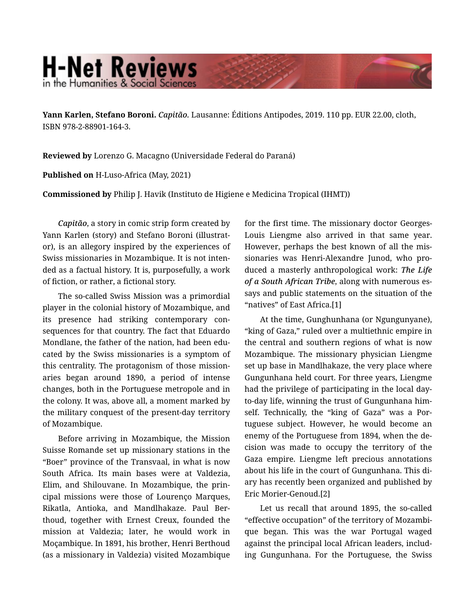## **H-Net Reviews** in the Humanities & Social Scienc

**Yann Karlen, Stefano Boroni.** *Capitão.* Lausanne: Éditions Antipodes, 2019. 110 pp. EUR 22.00, cloth, ISBN 978-2-88901-164-3.

**Reviewed by** Lorenzo G. Macagno (Universidade Federal do Paraná)

**Published on** H-Luso-Africa (May, 2021)

**Commissioned by** Philip J. Havik (Instituto de Higiene e Medicina Tropical (IHMT))

*Capitão*, a story in comic strip form created by Yann Karlen (story) and Stefano Boroni (illustrat‐ or), is an allegory inspired by the experiences of Swiss missionaries in Mozambique. It is not inten‐ ded as a factual history. It is, purposefully, a work of fiction, or rather, a fictional story.

The so-called Swiss Mission was a primordial player in the colonial history of Mozambique, and its presence had striking contemporary con‐ sequences for that country. The fact that Eduardo Mondlane, the father of the nation, had been edu‐ cated by the Swiss missionaries is a symptom of this centrality. The protagonism of those mission‐ aries began around 1890, a period of intense changes, both in the Portuguese metropole and in the colony. It was, above all, a moment marked by the military conquest of the present-day territory of Mozambique.

Before arriving in Mozambique, the Mission Suisse Romande set up missionary stations in the "Boer" province of the Transvaal, in what is now South Africa. Its main bases were at Valdezia, Elim, and Shilouvane. In Mozambique, the prin‐ cipal missions were those of Lourenço Marques, Rikatla, Antioka, and Mandlhakaze. Paul Ber‐ thoud, together with Ernest Creux, founded the mission at Valdezia; later, he would work in Moçambique. In 1891, his brother, Henri Berthoud (as a missionary in Valdezia) visited Mozambique

for the first time. The missionary doctor Georges-Louis Liengme also arrived in that same year. However, perhaps the best known of all the mis‐ sionaries was Henri-Alexandre Junod, who pro‐ duced a masterly anthropological work: *The Life of a South African Tribe*, along with numerous es‐ says and public statements on the situation of the "natives" of East Africa.[1]

At the time, Gunghunhana (or Ngungunyane), "king of Gaza," ruled over a multiethnic empire in the central and southern regions of what is now Mozambique. The missionary physician Liengme set up base in Mandlhakaze, the very place where Gungunhana held court. For three years, Liengme had the privilege of participating in the local dayto-day life, winning the trust of Gungunhana him‐ self. Technically, the "king of Gaza" was a Por‐ tuguese subject. However, he would become an enemy of the Portuguese from 1894, when the de‐ cision was made to occupy the territory of the Gaza empire. Liengme left precious annotations about his life in the court of Gungunhana. This di‐ ary has recently been organized and published by Eric Morier-Genoud.[2]

Let us recall that around 1895, the so-called "effective occupation" of the territory of Mozambi‐ que began. This was the war Portugal waged against the principal local African leaders, includ‐ ing Gungunhana. For the Portuguese, the Swiss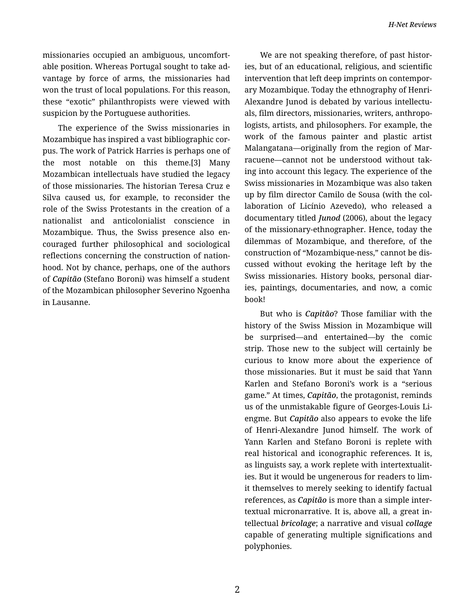missionaries occupied an ambiguous, uncomfort‐ able position. Whereas Portugal sought to take ad‐ vantage by force of arms, the missionaries had won the trust of local populations. For this reason, these "exotic" philanthropists were viewed with suspicion by the Portuguese authorities.

The experience of the Swiss missionaries in Mozambique has inspired a vast bibliographic cor‐ pus. The work of Patrick Harries is perhaps one of the most notable on this theme.[3] Many Mozambican intellectuals have studied the legacy of those missionaries. The historian Teresa Cruz e Silva caused us, for example, to reconsider the role of the Swiss Protestants in the creation of a nationalist and anticolonialist conscience in Mozambique. Thus, the Swiss presence also en‐ couraged further philosophical and sociological reflections concerning the construction of nation‐ hood. Not by chance, perhaps, one of the authors of *Capitão* (Stefano Boroni) was himself a student of the Mozambican philosopher Severino Ngoenha in Lausanne.

We are not speaking therefore, of past histories, but of an educational, religious, and scientific intervention that left deep imprints on contemporary Mozambique. Today the ethnography of Henri-Alexandre Junod is debated by various intellectu‐ als, film directors, missionaries, writers, anthropo‐ logists, artists, and philosophers. For example, the work of the famous painter and plastic artist Malangatana—originally from the region of Mar‐ racuene—cannot not be understood without tak‐ ing into account this legacy. The experience of the Swiss missionaries in Mozambique was also taken up by film director Camilo de Sousa (with the col‐ laboration of Licínio Azevedo), who released a documentary titled *Junod* (2006), about the legacy of the missionary-ethnographer. Hence, today the dilemmas of Mozambique, and therefore, of the construction of "Mozambique-ness," cannot be dis‐ cussed without evoking the heritage left by the Swiss missionaries. History books, personal diar‐ ies, paintings, documentaries, and now, a comic book!

But who is *Capitão*? Those familiar with the history of the Swiss Mission in Mozambique will be surprised—and entertained—by the comic strip. Those new to the subject will certainly be curious to know more about the experience of those missionaries. But it must be said that Yann Karlen and Stefano Boroni's work is a "serious game." At times, *Capitão*, the protagonist, reminds us of the unmistakable figure of Georges-Louis Li‐ engme. But *Capitão* also appears to evoke the life of Henri-Alexandre Junod himself. The work of Yann Karlen and Stefano Boroni is replete with real historical and iconographic references. It is, as linguists say, a work replete with intertextualit‐ ies. But it would be ungenerous for readers to lim‐ it themselves to merely seeking to identify factual references, as *Capitão* is more than a simple inter‐ textual micronarrative. It is, above all, a great in‐ tellectual *bricolage*; a narrative and visual *collage* capable of generating multiple significations and polyphonies.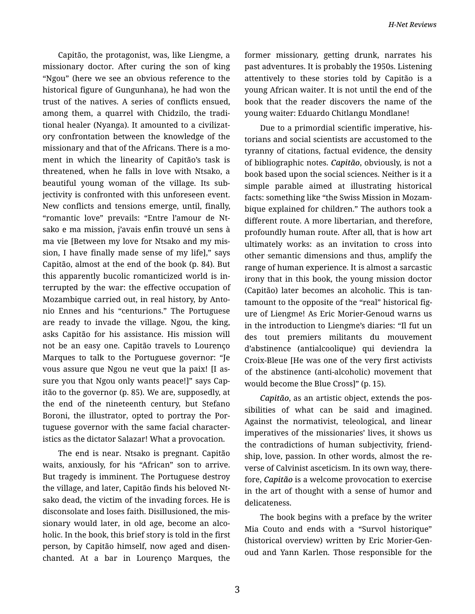Capitão, the protagonist, was, like Liengme, a missionary doctor. After curing the son of king "Ngou" (here we see an obvious reference to the historical figure of Gungunhana), he had won the trust of the natives. A series of conflicts ensued, among them, a quarrel with Chidzilo, the tradi‐ tional healer (Nyanga). It amounted to a civilizat‐ ory confrontation between the knowledge of the missionary and that of the Africans. There is a mo‐ ment in which the linearity of Capitão's task is threatened, when he falls in love with Ntsako, a beautiful young woman of the village. Its sub‐ jectivity is confronted with this unforeseen event. New conflicts and tensions emerge, until, finally, "romantic love" prevails: "Entre l'amour de Nt‐ sako e ma mission, j'avais enfin trouvé un sens à ma vie [Between my love for Ntsako and my mis‐ sion, I have finally made sense of my life]," says Capitão, almost at the end of the book (p. 84). But this apparently bucolic romanticized world is in‐ terrupted by the war: the effective occupation of Mozambique carried out, in real history, by Anto‐ nio Ennes and his "centurions." The Portuguese are ready to invade the village. Ngou, the king, asks Capitão for his assistance. His mission will not be an easy one. Capitão travels to Lourenço Marques to talk to the Portuguese governor: "Je vous assure que Ngou ne veut que la paix! [I as‐ sure you that Ngou only wants peace!]" says Cap‐ itão to the governor (p. 85). We are, supposedly, at the end of the nineteenth century, but Stefano Boroni, the illustrator, opted to portray the Por‐ tuguese governor with the same facial character‐ istics as the dictator Salazar! What a provocation.

The end is near. Ntsako is pregnant. Capitão waits, anxiously, for his "African" son to arrive. But tragedy is imminent. The Portuguese destroy the village, and later, Capitão finds his beloved Nt‐ sako dead, the victim of the invading forces. He is disconsolate and loses faith. Disillusioned, the mis‐ sionary would later, in old age, become an alco‐ holic. In the book, this brief story is told in the first person, by Capitão himself, now aged and disen‐ chanted. At a bar in Lourenço Marques, the

former missionary, getting drunk, narrates his past adventures. It is probably the 1950s. Listening attentively to these stories told by Capitão is a young African waiter. It is not until the end of the book that the reader discovers the name of the young waiter: Eduardo Chitlangu Mondlane!

Due to a primordial scientific imperative, his‐ torians and social scientists are accustomed to the tyranny of citations, factual evidence, the density of bibliographic notes. *Capitão*, obviously, is not a book based upon the social sciences. Neither is it a simple parable aimed at illustrating historical facts: something like "the Swiss Mission in Mozam‐ bique explained for children." The authors took a different route. A more libertarian, and therefore, profoundly human route. After all, that is how art ultimately works: as an invitation to cross into other semantic dimensions and thus, amplify the range of human experience. It is almost a sarcastic irony that in this book, the young mission doctor (Capitão) later becomes an alcoholic. This is tan‐ tamount to the opposite of the "real" historical fig‐ ure of Liengme! As Eric Morier-Genoud warns us in the introduction to Liengme's diaries: "Il fut un des tout premiers militants du mouvement d'abstinence (antialcoolique) qui deviendra la Croix-Bleue [He was one of the very first activists of the abstinence (anti-alcoholic) movement that would become the Blue Cross]" (p. 15).

*Capitão*, as an artistic object, extends the pos‐ sibilities of what can be said and imagined. Against the normativist, teleological, and linear imperatives of the missionaries' lives, it shows us the contradictions of human subjectivity, friend‐ ship, love, passion. In other words, almost the re‐ verse of Calvinist asceticism. In its own way, there‐ fore, *Capitão* is a welcome provocation to exercise in the art of thought with a sense of humor and delicateness.

The book begins with a preface by the writer Mia Couto and ends with a "Survol historique" (historical overview) written by Eric Morier-Gen‐ oud and Yann Karlen. Those responsible for the

3